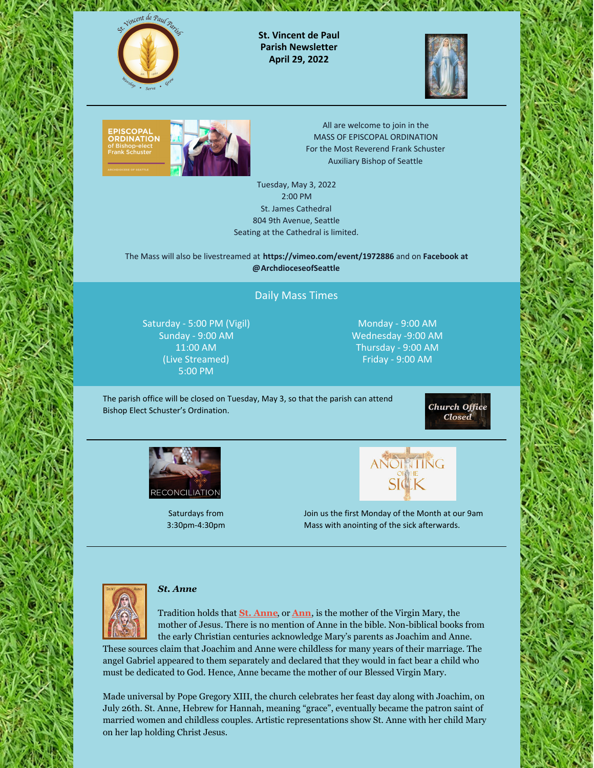

**St. Vincent de Paul Parish Newsletter April 29, 2022**

 $\sim$  4  $\sqrt{2}$   $\sqrt{2}$ 





All are welcome to join in the MASS OF EPISCOPAL ORDINATION For the Most Reverend Frank Schuster Auxiliary Bishop of Seattle

Tuesday, May 3, 2022 2:00 PM St. James Cathedral 804 9th Avenue, Seattle Seating at the Cathedral is limited.

The Mass will also be livestreamed at **[https://vimeo.com/event/1972886](https://www.facebook.com/ArchdioceseofSeattle)** and on **Facebook at @ArchdioceseofSeattle**

# Daily Mass Times

Saturday - 5:00 PM (Vigil) Sunday - 9:00 AM 11:00 AM (Live Streamed) 5:00 PM

Monday - 9:00 AM Wednesday -9:00 AM Thursday - 9:00 AM Friday - 9:00 AM

The parish office will be closed on Tuesday, May 3, so that the parish can attend Bishop Elect Schuster's Ordination.

**Church Office Closed** 



Saturdays from 3:30pm-4:30pm



Join us the first Monday of the Month at our 9am Mass with anointing of the sick afterwards.



## *St. Anne*

Tradition holds that **St. [Anne](https://catholicsaintmedals.com/st-anne-items/)**, or **[Ann](https://catholicsaintmedals.com/st-ann-items/)**, is the mother of the Virgin Mary, the mother of Jesus. There is no mention of Anne in the bible. Non-biblical books from the early Christian centuries acknowledge Mary's parents as Joachim and Anne. These sources claim that Joachim and Anne were childless for many years of their marriage. The

angel Gabriel appeared to them separately and declared that they would in fact bear a child who must be dedicated to God. Hence, Anne became the mother of our Blessed Virgin Mary.

Made universal by Pope Gregory XIII, the church celebrates her feast day along with Joachim, on July 26th. St. Anne, Hebrew for Hannah, meaning "grace", eventually became the patron saint of married women and childless couples. Artistic representations show St. Anne with her child Mary on her lap holding Christ Jesus.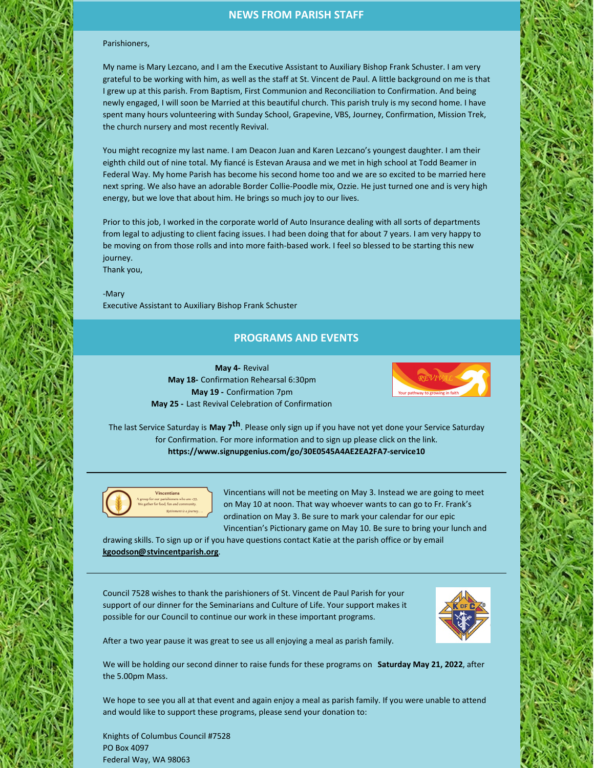# **NEWS FROM PARISH STAFF**

#### Parishioners,

My name is Mary Lezcano, and I am the Executive Assistant to Auxiliary Bishop Frank Schuster. I am very grateful to be working with him, as well as the staff at St. Vincent de Paul. A little background on me is that I grew up at this parish. From Baptism, First Communion and Reconciliation to Confirmation. And being newly engaged, I will soon be Married at this beautiful church. This parish truly is my second home. I have spent many hours volunteering with Sunday School, Grapevine, VBS, Journey, Confirmation, Mission Trek, the church nursery and most recently Revival.

You might recognize my last name. I am Deacon Juan and Karen Lezcano's youngest daughter. I am their eighth child out of nine total. My fiancé is Estevan Arausa and we met in high school at Todd Beamer in Federal Way. My home Parish has become his second home too and we are so excited to be married here next spring. We also have an adorable Border Collie-Poodle mix, Ozzie. He just turned one and is very high energy, but we love that about him. He brings so much joy to our lives.

Prior to this job, I worked in the corporate world of Auto Insurance dealing with all sorts of departments from legal to adjusting to client facing issues. I had been doing that for about 7 years. I am very happy to be moving on from those rolls and into more faith-based work. I feel so blessed to be starting this new journey. Thank you,

-Mary Executive Assistant to Auxiliary Bishop Frank Schuster

### **PROGRAMS AND EVENTS**

**May 4-** Revival **May 18-** Confirmation Rehearsal 6:30pm **May 19 -** Confirmation 7pm **May 25 -** Last Revival Celebration of Confirmation



The last Service Saturday is **May 7<sup>th</sup>**. Please only sign up if you have not yet done your Service Saturday for Confirmation. For more information and to sign up please click on the link. **<https://www.signupgenius.com/go/30E0545A4AE2EA2FA7-service10>**



Vincentians will not be meeting on May 3. Instead we are going to meet on May 10 at noon. That way whoever wants to can go to Fr. Frank's ordination on May 3. Be sure to mark your calendar for our epic Vincentian's Pictionary game on May 10. Be sure to bring your lunch and

drawing skills. To sign up or if you have questions contact Katie at the parish office or by email **[kgoodson@stvincentparish.org](mailto:kgoodson@stvincentparish.org)**.

Council 7528 wishes to thank the parishioners of St. Vincent de Paul Parish for your support of our dinner for the Seminarians and Culture of Life. Your support makes it possible for our Council to continue our work in these important programs.



After a two year pause it was great to see us all enjoying a meal as parish family.

We will be holding our second dinner to raise funds for these programs on **Saturday May 21, 2022**, after the 5.00pm Mass.

We hope to see you all at that event and again enjoy a meal as parish family. If you were unable to attend and would like to support these programs, please send your donation to:

Knights of Columbus Council #7528 PO Box 4097 Federal Way, WA 98063